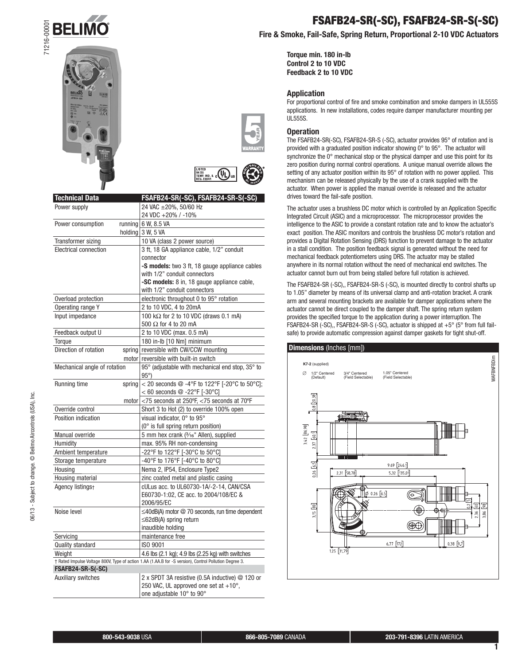





# **USTED**<br>TEMP IND. & COLORED REG. EQUIP

| <b>Technical Data</b>                                                                                  | FSAFB24-SR(-SC), FSAFB24-SR-S(-SC)                                 |
|--------------------------------------------------------------------------------------------------------|--------------------------------------------------------------------|
| Power supply                                                                                           | 24 VAC ±20%, 50/60 Hz                                              |
|                                                                                                        | 24 VDC +20% / -10%                                                 |
| Power consumption                                                                                      | running $6$ W, 8.5 VA                                              |
|                                                                                                        | holding $3$ W, 5 VA                                                |
| Transformer sizing                                                                                     | 10 VA (class 2 power source)                                       |
| Electrical connection                                                                                  | 3 ft, 18 GA appliance cable, 1/2" conduit                          |
|                                                                                                        | connector                                                          |
|                                                                                                        | -S models: two 3 ft, 18 gauge appliance cables                     |
|                                                                                                        | with 1/2" conduit connectors                                       |
|                                                                                                        | -SC models: 8 in, 18 gauge appliance cable,                        |
|                                                                                                        | with 1/2" conduit connectors                                       |
| Overload protection                                                                                    | electronic throughout 0 to 95° rotation                            |
| Operating range Y                                                                                      | 2 to 10 VDC, 4 to 20mA                                             |
| Input impedance                                                                                        | 100 k $\Omega$ for 2 to 10 VDC (draws 0.1 mA)                      |
|                                                                                                        | 500 $\Omega$ for 4 to 20 mA                                        |
| Feedback output U                                                                                      | 2 to 10 VDC (max. 0.5 mA)                                          |
| Torque                                                                                                 | 180 in-lb [10 Nm] minimum                                          |
| Direction of rotation                                                                                  | spring reversible with CW/CCW mounting                             |
|                                                                                                        | motor reversible with built-in switch                              |
| Mechanical angle of rotation                                                                           | 95° (adjustable with mechanical end stop, 35° to                   |
|                                                                                                        | $95^{\circ}$ )                                                     |
| Running time<br>spring                                                                                 | < 20 seconds $@ -4^\circ F$ to 122°F [-20°C to 50°C];              |
|                                                                                                        | < 60 seconds $@ -22^{\circ}F [-30^{\circ}C]$                       |
|                                                                                                        | motor $ $ <75 seconds at 250°F, <75 seconds at 70°F                |
| Override control                                                                                       | Short 3 to Hot (2) to override 100% open                           |
| Position indication                                                                                    | visual indicator, 0° to 95°                                        |
|                                                                                                        | (0° is full spring return position)                                |
| Manual override                                                                                        | 5 mm hex crank (3/16" Allen), supplied                             |
| Humidity                                                                                               | max. 95% RH non-condensing                                         |
| Ambient temperature                                                                                    | -22°F to 122°F [-30°C to 50°C]                                     |
| Storage temperature                                                                                    | -40°F to 176°F [-40°C to 80°C]                                     |
| Housing                                                                                                | Nema 2, IP54, Enclosure Type2                                      |
| Housing material                                                                                       | zinc coated metal and plastic casing                               |
| Agency listings+                                                                                       | cULus acc. to UL60730-1A/-2-14, CAN/CSA                            |
|                                                                                                        | E60730-1:02, CE acc. to 2004/108/EC &                              |
|                                                                                                        | 2006/95/EC                                                         |
| Noise level                                                                                            | ≤40dB(A) motor @ 70 seconds, run time dependent                    |
|                                                                                                        | $\leq$ 62dB(A) spring return                                       |
|                                                                                                        | inaudible holding                                                  |
| Servicing                                                                                              | maintenance free                                                   |
| Quality standard                                                                                       | ISO 9001                                                           |
| Weight                                                                                                 | 4.6 lbs (2.1 kg); 4.9 lbs (2.25 kg) with switches                  |
| † Rated Impulse Voltage 800V, Type of action 1.AA (1.AA.B for -S version), Control Pollution Degree 3. |                                                                    |
| FSAFB24-SR-S(-SC)                                                                                      |                                                                    |
| Auxiliary switches                                                                                     | 2 x SPDT 3A resistive (0.5A inductive) @ 120 or                    |
|                                                                                                        | 250 VAC, UL approved one set at +10°,<br>one adjustable 10° to 90° |
|                                                                                                        |                                                                    |

## **FSAFB24-SR(-SC), FSAFB24-SR-S(-SC)**

**Fire & Smoke, Fail-Safe, Spring Return, Proportional 2-10 VDC Actuators**

**Torque min. 180 in-lb Control 2 to 10 VDC Feedback 2 to 10 VDC**

#### **Application**

For proportional control of fire and smoke combination and smoke dampers in UL555S applications. In new installations, codes require damper manufacturer mounting per UL555S.

## **Operation**

The FSAFB24-SR(-SC), FSAFB24-SR-S (-SC), actuator provides 95° of rotation and is provided with a graduated position indicator showing 0° to 95°. The actuator will synchronize the 0° mechanical stop or the physical damper and use this point for its zero position during normal control operations. A unique manual override allows the setting of any actuator position within its 95° of rotation with no power applied. This mechanism can be released physically by the use of a crank supplied with the actuator. When power is applied the manual override is released and the actuator drives toward the fail-safe position.

The actuator uses a brushless DC motor which is controlled by an Application Specific Integrated Circuit (ASIC) and a microprocessor. The microprocessor provides the intelligence to the ASIC to provide a constant rotation rate and to know the actuator's exact position. The ASIC monitors and controls the brushless DC motor's rotation and provides a Digital Rotation Sensing (DRS) function to prevent damage to the actuator in a stall condition. The position feedback signal is generated without the need for mechanical feedback potentiometers using DRS. The actuator may be stalled anywhere in its normal rotation without the need of mechanical end switches. The actuator cannot burn out from being stalled before full rotation is achieved.

The FSAFB24-SR (-SC),, FSAFB24-SR-S (-SC), is mounted directly to control shafts up to 1.05" diameter by means of its universal clamp and anti-rotation bracket. A crank arm and several mounting brackets are available for damper applications where the actuator cannot be direct coupled to the damper shaft. The spring return system provides the specified torque to the application during a power interruption. The FSAFB24-SR (-SC),, FSAFB24-SR-S (-SC), actuator is shipped at +5° (5° from full failsafe) to provide automatic compression against damper gaskets for tight shut-off.

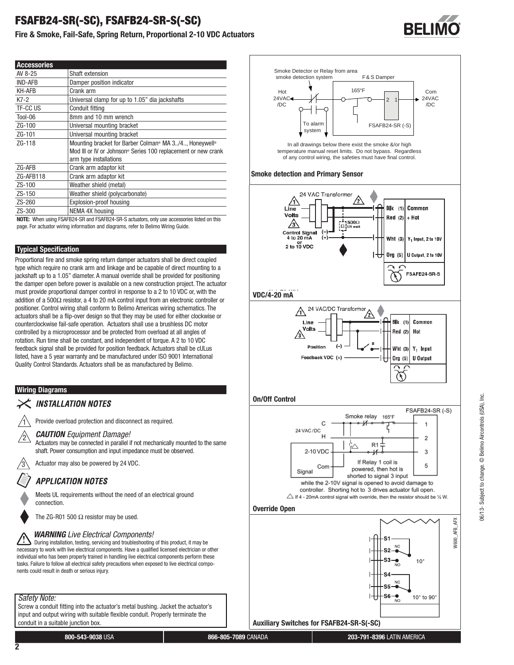## **FSAFB24-SR(-SC), FSAFB24-SR-S(-SC)**

**Fire & Smoke, Fail-Safe, Spring Return, Proportional 2-10 VDC Actuators**

| <b>Accessories</b> |                                                                                                                                                                                      |
|--------------------|--------------------------------------------------------------------------------------------------------------------------------------------------------------------------------------|
| AV 8-25            | Shaft extension                                                                                                                                                                      |
| <b>IND-AFB</b>     | Damper position indicator                                                                                                                                                            |
| <b>KH-AFB</b>      | Crank arm                                                                                                                                                                            |
| $K7-2$             | Universal clamp for up to 1.05" dia jackshafts                                                                                                                                       |
| TF-CC US           | Conduit fitting                                                                                                                                                                      |
| Tool-06            | 8mm and 10 mm wrench                                                                                                                                                                 |
| $ZG-100$           | Universal mounting bracket                                                                                                                                                           |
| ZG-101             | Universal mounting bracket                                                                                                                                                           |
| ZG-118             | Mounting bracket for Barber Colman <sup>®</sup> MA 3/4 Honeywell <sup>®</sup><br>Mod III or IV or Johnson <sup>®</sup> Series 100 replacement or new crank<br>arm type installations |
| ZG-AFB             | Crank arm adaptor kit                                                                                                                                                                |
| ZG-AFB118          | Crank arm adaptor kit                                                                                                                                                                |
| ZS-100             | Weather shield (metal)                                                                                                                                                               |
| ZS-150             | Weather shield (polycarbonate)                                                                                                                                                       |
| ZS-260             | Explosion-proof housing                                                                                                                                                              |
| $ZS-300$           | NEMA 4X housing                                                                                                                                                                      |
|                    | <b>NOTE:</b> When using FSAFB24-SR and FSAFB24-SR-S actuators, only use accessories listed on this                                                                                   |

**NOTE:** When using FSAFB24-SR and FSAFB24-SR-S actuators, only use accessories listed on this page. For actuator wiring information and diagrams, refer to Belimo Wiring Guide.

## **Typical Specification**

Proportional fire and smoke spring return damper actuators shall be direct coupled type which require no crank arm and linkage and be capable of direct mounting to a jackshaft up to a 1.05" diameter. A manual override shall be provided for positioning the damper open before power is available on a new construction project. The actuator must provide proportional damper control in response to a 2 to 10 VDC or, with the addition of a 500 $Ω$  resistor, a 4 to 20 mA control input from an electronic controller or positioner. Control wiring shall conform to Belimo Americas wiring schematics. The actuators shall be a flip-over design so that they may be used for either clockwise or counterclockwise fail-safe operation. Actuators shall use a brushless DC motor controlled by a microprocessor and be protected from overload at all angles of rotation. Run time shall be constant, and independent of torque. A 2 to 10 VDC feedback signal shall be provided for position feedback. Actuators shall be cULus listed, have a 5 year warranty and be manufactured under ISO 9001 International Quality Control Standards. Actuators shall be as manufactured by Belimo.

## **Wiring Diagrams**

## **INSTALLATION NOTES**

Provide overload protection and disconnect as required.

## <sup>2</sup> *CAUTION Equipment Damage!*

Actuators may be connected in parallel if not mechanically mounted to the same shaft. Power consumption and input impedance must be observed.

Actuator may also be powered by 24 VDC.

## **APPLICATION NOTES**

Meets UL requirements without the need of an electrical ground connection.

The ZG-R01 500  $\Omega$  resistor may be used.

## *WARNING Live Electrical Components!*

 During installation, testing, servicing and troubleshooting of this product, it may be necessary to work with live electrical components. Have a qualified licensed electrician or other individual who has been properly trained in handling live electrical components perform these tasks. Failure to follow all electrical safety precautions when exposed to live electrical components could result in death or serious injury.

## *Safety Note:*

Screw a conduit fitting into the actuator's metal bushing. Jacket the actuator's input and output wiring with suitable flexible conduit. Properly terminate the conduit in a suitable junction box.



06/13- Subject to change. © Belimo Aircontrols (USA), Inc. 06/13- Subject to change. © Belimo Aircontrols (USA), Inc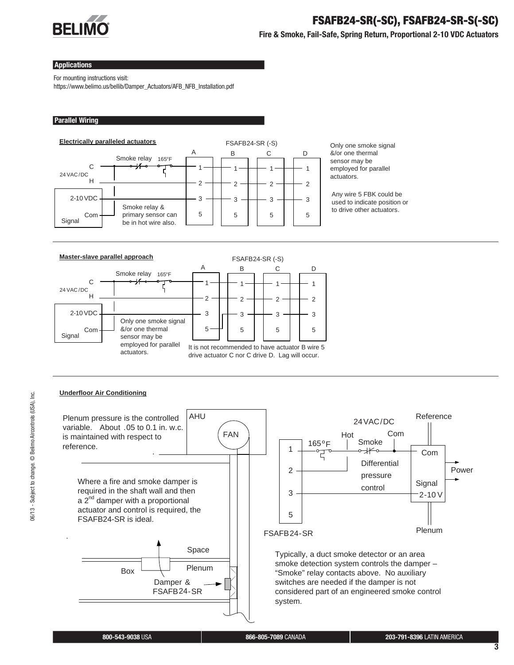

## **FSAFB24-SR(-SC), FSAFB24-SR-S(-SC)**

**Fire & Smoke, Fail-Safe, Spring Return, Proportional 2-10 VDC Actuators**

#### **Applications**

For mounting instructions visit:

https://www.belimo.us/bellib/Damper\_Actuators/AFB\_NFB\_Installation.pdf

#### **Parallel Wiring**



Only one smoke signal &/or one thermal sensor may be employed for parallel actuators.

Any wire 5 FBK could be used to indicate position or to drive other actuators.



## **Underfloor Air Conditioning**



<u>نع</u>